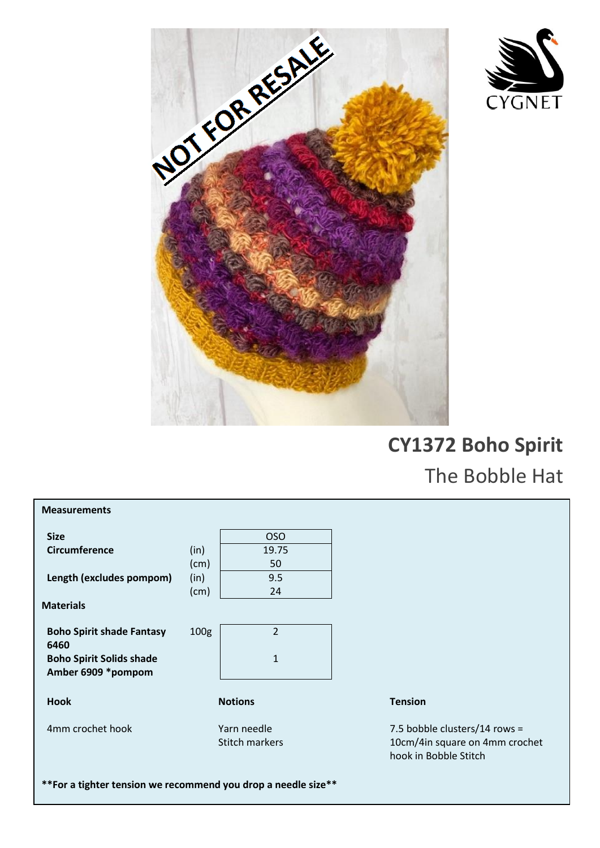



## **CY1372 Boho Spirit**  The Bobble Hat

| <b>Measurements</b>                                   |                  |                       |                                                         |
|-------------------------------------------------------|------------------|-----------------------|---------------------------------------------------------|
| <b>Size</b>                                           |                  | <b>OSO</b>            |                                                         |
| <b>Circumference</b>                                  | (in)             | 19.75                 |                                                         |
|                                                       | (cm)             | 50                    |                                                         |
| Length (excludes pompom)                              | (in)             | 9.5                   |                                                         |
|                                                       | (cm)             | 24                    |                                                         |
| <b>Materials</b>                                      |                  |                       |                                                         |
| <b>Boho Spirit shade Fantasy</b><br>6460              | 100 <sub>g</sub> | $\overline{2}$        |                                                         |
| <b>Boho Spirit Solids shade</b><br>Amber 6909 *pompom |                  | $\mathbf{1}$          |                                                         |
| <b>Hook</b>                                           | <b>Notions</b>   |                       | <b>Tension</b>                                          |
| 4mm crochet hook                                      | Yarn needle      |                       | 7.5 bobble clusters/14 rows =                           |
|                                                       |                  | <b>Stitch markers</b> | 10cm/4in square on 4mm crochet<br>hook in Bobble Stitch |
|                                                       |                  |                       |                                                         |

**\*\*For a tighter tension we recommend you drop a needle size\*\***